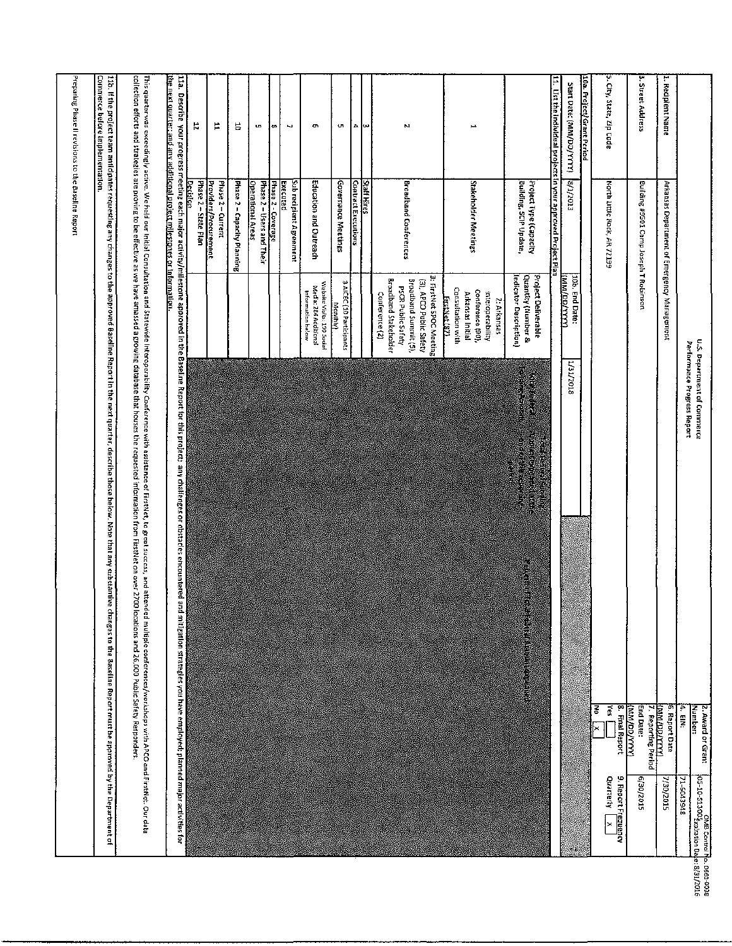|                                                                         |                                                           |                                                                                                                                                      | U.S. Department of Commerce<br>Performance Progress Report                                                                                                                                                                                                                                                                                                                                                                                                                                                                                                                                                            | 4. EIN:<br>Mundber:<br>2. Award or Grant<br>71-6043948              | OMB Control No. 0660-0038 |
|-------------------------------------------------------------------------|-----------------------------------------------------------|------------------------------------------------------------------------------------------------------------------------------------------------------|-----------------------------------------------------------------------------------------------------------------------------------------------------------------------------------------------------------------------------------------------------------------------------------------------------------------------------------------------------------------------------------------------------------------------------------------------------------------------------------------------------------------------------------------------------------------------------------------------------------------------|---------------------------------------------------------------------|---------------------------|
| 1. Recipient Name                                                       | Arkansas Department of Emergency Management               |                                                                                                                                                      |                                                                                                                                                                                                                                                                                                                                                                                                                                                                                                                                                                                                                       | <b>TAXAZZOOZININI</b><br>6. Report Date<br>2/30/2015                |                           |
| 3. Street Address                                                       | Building #9501 Camp Joseph T Robinson                     |                                                                                                                                                      |                                                                                                                                                                                                                                                                                                                                                                                                                                                                                                                                                                                                                       | End Date:<br>(KYYVOO/MM)<br>7. Reporting Period<br><b>STOZ/DE/9</b> |                           |
| 5. Cty, State, Zip Code                                                 | North Little Rock, AR 72199                               |                                                                                                                                                      |                                                                                                                                                                                                                                                                                                                                                                                                                                                                                                                                                                                                                       | $\frac{1}{2}$<br>8. Final Report<br>š<br>×<br>Quarterly             | 9. Report Frequency<br>×  |
| 10a. Project/Grant Period                                               |                                                           |                                                                                                                                                      |                                                                                                                                                                                                                                                                                                                                                                                                                                                                                                                                                                                                                       |                                                                     |                           |
| Start Date: (MM/DD/YYYY)                                                | 8/1/2013                                                  | 10b, End Date:<br><b>CONTRACTOR</b>                                                                                                                  | 1/31/2018                                                                                                                                                                                                                                                                                                                                                                                                                                                                                                                                                                                                             |                                                                     |                           |
| 11. Ust the individual projects in your approved Project Plan           |                                                           |                                                                                                                                                      |                                                                                                                                                                                                                                                                                                                                                                                                                                                                                                                                                                                                                       |                                                                     |                           |
|                                                                         | Building, SCIP Update,<br>Project Type (Capacity          | <b>Quantity (Number &amp;</b><br>Project Deliverable<br>Indicator Description)                                                                       | in<br>Si                                                                                                                                                                                                                                                                                                                                                                                                                                                                                                                                                                                                              | E ALTER ANTIQUE AN                                                  |                           |
| H                                                                       | Stakeholder Meetings                                      | Consultation with<br>Conference (90),<br>Interoperability<br>Arkansas Initial<br><b>FustNet (87)</b><br>2: Arkansas                                  |                                                                                                                                                                                                                                                                                                                                                                                                                                                                                                                                                                                                                       |                                                                     |                           |
| м                                                                       | <b>Broadband Conferences</b>                              | 3: FirstNet SPOC Meeting<br><b>Broadband Stakeholder</b><br>Broadband Summit (5).<br>(3), APCO Public Safety<br>PSCR Public Safety<br>Conference (2) |                                                                                                                                                                                                                                                                                                                                                                                                                                                                                                                                                                                                                       |                                                                     |                           |
| A<br>Įω                                                                 | Contract Executions<br>Staff Hires                        |                                                                                                                                                      |                                                                                                                                                                                                                                                                                                                                                                                                                                                                                                                                                                                                                       |                                                                     |                           |
| UR.                                                                     | Governance Meetings                                       | 3 AICEC (10 Participants<br>Monthly                                                                                                                  |                                                                                                                                                                                                                                                                                                                                                                                                                                                                                                                                                                                                                       |                                                                     |                           |
| c                                                                       | Education and Outreach                                    | Website Water: 190 Social<br>Media: 284 Additional<br>Information below                                                                              |                                                                                                                                                                                                                                                                                                                                                                                                                                                                                                                                                                                                                       |                                                                     |                           |
| N                                                                       | Sub recipient Agreement<br>Executed                       |                                                                                                                                                      |                                                                                                                                                                                                                                                                                                                                                                                                                                                                                                                                                                                                                       |                                                                     |                           |
| œ                                                                       | Phase 2 - Coverage                                        |                                                                                                                                                      |                                                                                                                                                                                                                                                                                                                                                                                                                                                                                                                                                                                                                       |                                                                     |                           |
| w                                                                       | Phase 2 - Users and Their<br><b>Operational Areas</b>     |                                                                                                                                                      |                                                                                                                                                                                                                                                                                                                                                                                                                                                                                                                                                                                                                       |                                                                     |                           |
| 능                                                                       | Phase 2 - Capacity Planning                               |                                                                                                                                                      |                                                                                                                                                                                                                                                                                                                                                                                                                                                                                                                                                                                                                       |                                                                     |                           |
| Ħ                                                                       | Phase 2-Current                                           |                                                                                                                                                      |                                                                                                                                                                                                                                                                                                                                                                                                                                                                                                                                                                                                                       |                                                                     |                           |
| r.                                                                      | Decision<br>Providers/Procurement<br>Phase 2 – State Plan |                                                                                                                                                      |                                                                                                                                                                                                                                                                                                                                                                                                                                                                                                                                                                                                                       |                                                                     |                           |
| the next quarter: and any additional project milestones or information. |                                                           |                                                                                                                                                      | collection efforts and strategies are proving to be effective as we have amassed a growing database that houses the requested information fract/let on over 2700<br>This quarter was exceedingly active. We held on the promit and the properability Conference with assistance of FirstNet, to great success, and attended multiple conferences/workshops with APCO and FirstNet. Our data delay<br>11a. Descrite your progress meeting each major activity/milestor ten expercibe in the project, any chalienges or obstacies encountered and miligation strategies you have employed; planned major activities for | locations and 26,000 Public Safety Responders.                      |                           |
|                                                                         |                                                           |                                                                                                                                                      | 110. If the project ream antichates regustance are approved Baseline Report in the next quartier, describe those below. Note that any substantive changes to the Baseline Report must be approved by the Department of                                                                                                                                                                                                                                                                                                                                                                                                |                                                                     |                           |
| Commerce before implementation                                          |                                                           |                                                                                                                                                      |                                                                                                                                                                                                                                                                                                                                                                                                                                                                                                                                                                                                                       |                                                                     |                           |
| Preparing Phase II revisions to the Baseline Report                     |                                                           |                                                                                                                                                      |                                                                                                                                                                                                                                                                                                                                                                                                                                                                                                                                                                                                                       |                                                                     |                           |
|                                                                         |                                                           |                                                                                                                                                      |                                                                                                                                                                                                                                                                                                                                                                                                                                                                                                                                                                                                                       |                                                                     |                           |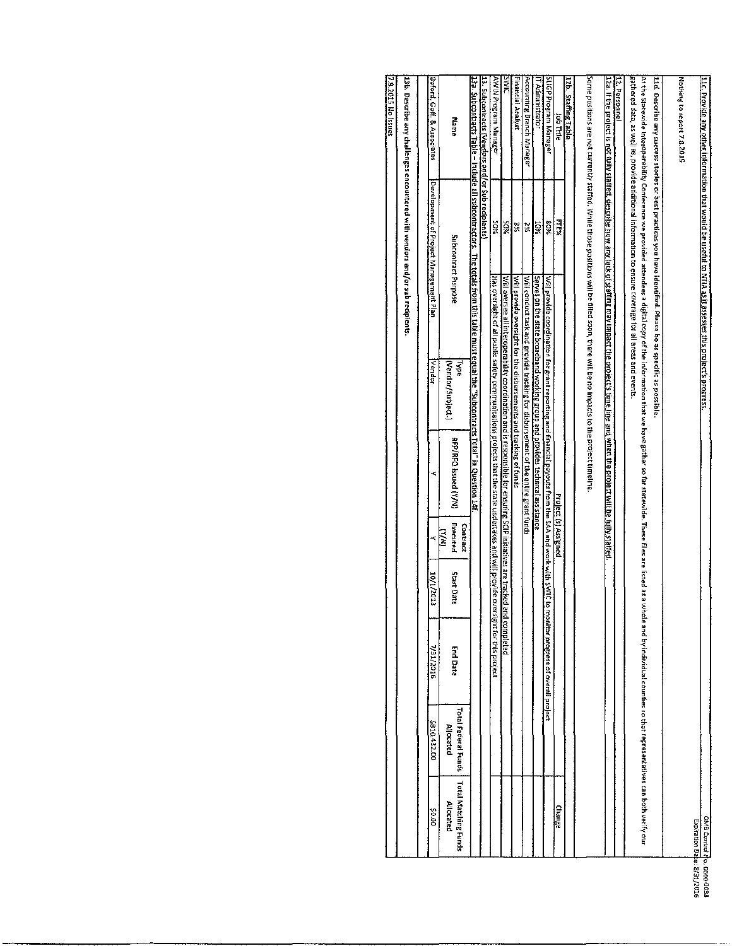| 7.8.2015 No Issues | 136. Describe any challenges encountered with vendors and/or sub recipients. | Buford, Goff. & Associates             | Martie                            | <u>13a. Subgontracts Table – Include all subcontractors. The totals from this table must equal the "Subcontracts Total" in Question 24f.</u> | <u>13. Subcontracts (Vendors and/or Sub reciplents)</u> | AWIN Program Manager                                                                                     | <b>JIMS</b>                                                                                                 | Financial Analyst                                                  | Accounting Branch Manager                                                         | IT Administrator                                                              | SLIGP Program Manager                                                                                  | lob Title            | 12b. Staffing Table | Some positions are not currently staffed. While those positions will be filted soon, there will be no impades to the prolect timeline | 12. Personnel<br>12a. If the project is not fully staffed, describe how any lack of staffing moy impact the project's time inte and when the project will be fully staffed. | gathered data, as well as, provide additional information to ensure coverage for all areas and events<br>At the Statewice Interprensive provided attendees a digital copy of the information that experies a fact what are listed as a whole and by individual counties so that representatives can both verify our | 11d. Describe any success stories or best practices you have identified. Please be as specific as possible | Nothing to report 7.8, 2015 | <u>11c. Provide any other information that would be useful to NTA as it assesses this project's progress.</u> |
|--------------------|------------------------------------------------------------------------------|----------------------------------------|-----------------------------------|----------------------------------------------------------------------------------------------------------------------------------------------|---------------------------------------------------------|----------------------------------------------------------------------------------------------------------|-------------------------------------------------------------------------------------------------------------|--------------------------------------------------------------------|-----------------------------------------------------------------------------------|-------------------------------------------------------------------------------|--------------------------------------------------------------------------------------------------------|----------------------|---------------------|---------------------------------------------------------------------------------------------------------------------------------------|-----------------------------------------------------------------------------------------------------------------------------------------------------------------------------|---------------------------------------------------------------------------------------------------------------------------------------------------------------------------------------------------------------------------------------------------------------------------------------------------------------------|------------------------------------------------------------------------------------------------------------|-----------------------------|---------------------------------------------------------------------------------------------------------------|
|                    |                                                                              | Development of Project Management Plan | Subcontract Purpose               |                                                                                                                                              |                                                         | ¥OS                                                                                                      | %05                                                                                                         | ¥                                                                  | X                                                                                 | 10%                                                                           | 80%                                                                                                    | بر<br>پرچ            |                     |                                                                                                                                       |                                                                                                                                                                             |                                                                                                                                                                                                                                                                                                                     |                                                                                                            |                             |                                                                                                               |
|                    |                                                                              | Vendor                                 | (Vendor/Subject.)<br><b>Lype</b>  |                                                                                                                                              |                                                         | Has oversight of all public safety communications projects that the state undertakes and will provide ov | Will oversee all interoperability coordination and is responsible for ensuring SCIP initiatives are tracked | Will provide oversight for the disbursements and tracking of funds | Will conduct task and provide tracking for disbursement of the entire grant funds | Serves on the state broadband working group and provides technical assistance | Will provide coordination for grant reporting and financial payouts from the SAA and work with SWIC to |                      |                     |                                                                                                                                       |                                                                                                                                                                             |                                                                                                                                                                                                                                                                                                                     |                                                                                                            |                             |                                                                                                               |
|                    |                                                                              |                                        | RFP/RFQ Issued (Y/N)              |                                                                                                                                              |                                                         |                                                                                                          |                                                                                                             |                                                                    |                                                                                   |                                                                               |                                                                                                        |                      |                     |                                                                                                                                       |                                                                                                                                                                             |                                                                                                                                                                                                                                                                                                                     |                                                                                                            |                             |                                                                                                               |
|                    |                                                                              |                                        | Executed<br>Contract<br>(M/A)     |                                                                                                                                              |                                                         |                                                                                                          |                                                                                                             |                                                                    |                                                                                   |                                                                               |                                                                                                        | Project (s) Assigned |                     |                                                                                                                                       |                                                                                                                                                                             |                                                                                                                                                                                                                                                                                                                     |                                                                                                            |                             |                                                                                                               |
|                    |                                                                              | 10/1/2013                              | Start Date                        |                                                                                                                                              |                                                         |                                                                                                          |                                                                                                             |                                                                    |                                                                                   |                                                                               |                                                                                                        |                      |                     |                                                                                                                                       |                                                                                                                                                                             |                                                                                                                                                                                                                                                                                                                     |                                                                                                            |                             |                                                                                                               |
|                    |                                                                              | V31/2016                               | <b>End Date</b>                   |                                                                                                                                              |                                                         | ersight for this project                                                                                 | and completed                                                                                               |                                                                    |                                                                                   |                                                                               | monitor progress of overall project                                                                    |                      |                     |                                                                                                                                       |                                                                                                                                                                             |                                                                                                                                                                                                                                                                                                                     |                                                                                                            |                             |                                                                                                               |
|                    |                                                                              | \$810,432.00                           | Total Federal Funds<br>Allocated  |                                                                                                                                              |                                                         |                                                                                                          |                                                                                                             |                                                                    |                                                                                   |                                                                               |                                                                                                        |                      |                     |                                                                                                                                       |                                                                                                                                                                             |                                                                                                                                                                                                                                                                                                                     |                                                                                                            |                             |                                                                                                               |
|                    |                                                                              | <b>SO.DD</b>                           | Total Matching Funds<br>Allocated |                                                                                                                                              |                                                         |                                                                                                          |                                                                                                             |                                                                    |                                                                                   |                                                                               |                                                                                                        | Change               |                     |                                                                                                                                       |                                                                                                                                                                             |                                                                                                                                                                                                                                                                                                                     |                                                                                                            |                             | OMB Control Mo. 0660-0038<br>Expiration Date: 8/31/2016                                                       |